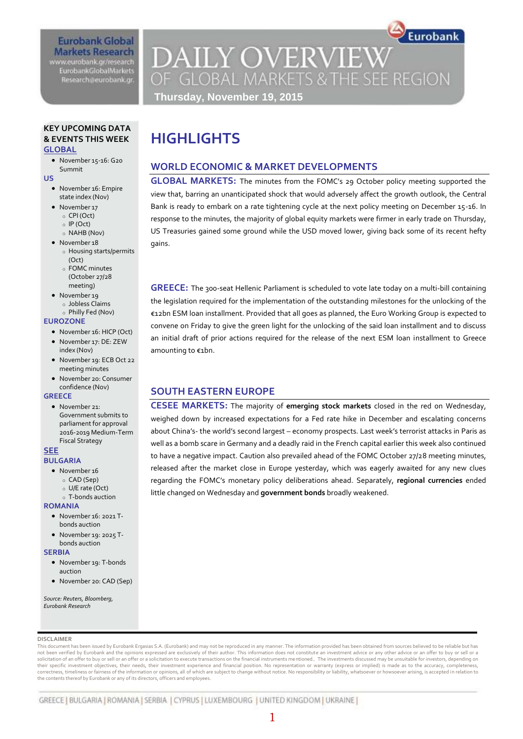# **Eurobank Global Markets Research** www.eurobank.gr/research

**EurobankGlobalMarkets** Research@eurobank.gr

# **DAILY OVERVIEW** OF GLOBAL MARKETS & THE SEE REGION **Thursday, November 19, 2015**

Eurobank

## **KEY UPCOMING DATA & EVENTS THIS WEEK GLOBAL**

 November 15-16: G20 Summit

**US** 

- November 16: Empire state index (Nov)
- November 17
	- o CPI (Oct)
	- o IP (Oct)
- o NAHB (Nov)
- November 18 o Housing starts/permits  $(Ort)$ 
	- o FOMC minutes (October 27/28
- meeting) • November 19
- o Jobless Claims o Philly Fed (Nov)

#### **EUROZONE**

- November 16: HICP (Oct)
- November 17: DE: ZEW index (Nov)
- November 19: ECB Oct 22 meeting minutes
- November 20: Consumer confidence (Nov)

### **GREECE**

· November 21: Government submits to parliament for approval 2016-2019 Medium-Term Fiscal Strategy

#### **SEE BULGARIA**

- November 16
	- o CAD (Sep)
	- o U/E rate (Oct)
- o T-bonds auction

#### **ROMANIA**

- November 16: 2021 T-
- bonds auction November 19: 2025 T-
- bonds auction

### **SERBIA**

- November 19: T-bonds auction
- November 20: CAD (Sep)

*Source: Reuters, Bloomberg, Eurobank Research*

# **HIGHLIGHTS**

# **WORLD ECONOMIC & MARKET DEVELOPMENTS**

**GLOBAL MARKETS:** The minutes from the FOMC's 29 October policy meeting supported the view that, barring an unanticipated shock that would adversely affect the growth outlook, the Central Bank is ready to embark on a rate tightening cycle at the next policy meeting on December 15-16. In response to the minutes, the majority of global equity markets were firmer in early trade on Thursday, US Treasuries gained some ground while the USD moved lower, giving back some of its recent hefty gains.

**GREECE:** The 300-seat Hellenic Parliament is scheduled to vote late today on a multi-bill containing the legislation required for the implementation of the outstanding milestones for the unlocking of the €12bn ESM loan installment. Provided that all goes as planned, the Euro Working Group is expected to convene on Friday to give the green light for the unlocking of the said loan installment and to discuss an initial draft of prior actions required for the release of the next ESM loan installment to Greece amounting to €1bn.

# **SOUTH EASTERN EUROPE**

**CESEE MARKETS:** The majority of **emerging stock markets** closed in the red on Wednesday, weighed down by increased expectations for a Fed rate hike in December and escalating concerns about China's- the world's second largest – economy prospects. Last week's terrorist attacks in Paris as well as a bomb scare in Germany and a deadly raid in the French capital earlier this week also continued to have a negative impact. Caution also prevailed ahead of the FOMC October 27/28 meeting minutes, released after the market close in Europe yesterday, which was eagerly awaited for any new clues regarding the FOMC's monetary policy deliberations ahead. Separately, **regional currencies** ended little changed on Wednesday and **government bonds** broadly weakened.

#### **DISCLAIMER**

This document has been issued by Eurobank Ergasias S.A. (Eurobank) and may not be reproduced in any manner. The information provided has been obtained from sources believed to be reliable but has not been verified by Eurobank and the opinions expressed are exclusively of their author. This information does not constitute an investment advice or any other advice or an offer to buy or sell or a solicitation of an offer to buy or sell or an offer or a solicitation to execute transactions on the financial instruments mentioned.. The investments discussed may be unsuitable for investors, depending on their specific investment objectives, their needs, their investment experience and financial position. No representation or warranty (express or implied) is made as to the accuracy, completeness correctness, timeliness or fairness of the information or opinions, all of which are subject to change without notice. No responsibility or liability, whatsoever or howsoever arising, is accepted in relation to the contents thereof by Eurobank or any of its directors, officers and employees.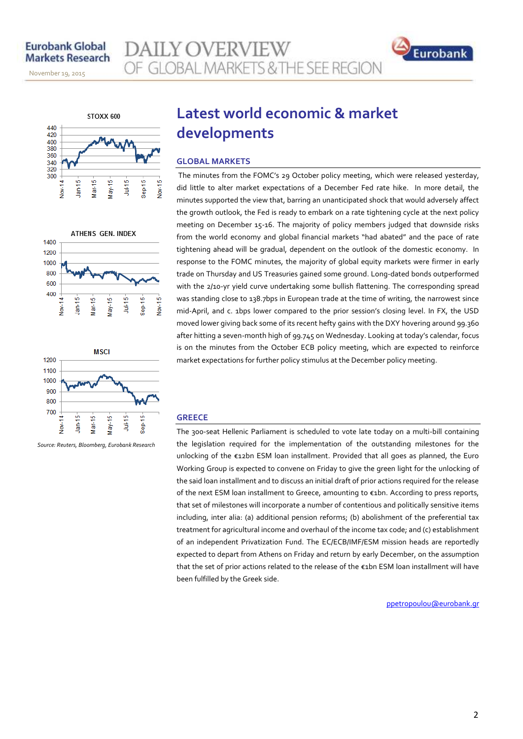November 14, 2013



November 19, 2015









*Source: Reuters, Bloomberg, Eurobank Research*

# **Latest world economic & market developments**

# **GLOBAL MARKETS**

**AILY OVERVIEW** 

The minutes from the FOMC's 29 October policy meeting, which were released yesterday, did little to alter market expectations of a December Fed rate hike. In more detail, the minutes supported the view that, barring an unanticipated shock that would adversely affect the growth outlook, the Fed is ready to embark on a rate tightening cycle at the next policy meeting on December 15-16. The majority of policy members judged that downside risks from the world economy and global financial markets "had abated" and the pace of rate tightening ahead will be gradual, dependent on the outlook of the domestic economy. In response to the FOMC minutes, the majority of global equity markets were firmer in early trade on Thursday and US Treasuries gained some ground. Long-dated bonds outperformed with the 2/10-yr yield curve undertaking some bullish flattening. The corresponding spread was standing close to 138.7bps in European trade at the time of writing, the narrowest since mid-April, and c. 1bps lower compared to the prior session's closing level. In FX, the USD moved lower giving back some of its recent hefty gains with the DXY hovering around 99.360 after hitting a seven-month high of 99.745 on Wednesday. Looking at today's calendar, focus is on the minutes from the October ECB policy meeting, which are expected to reinforce market expectations for further policy stimulus at the December policy meeting.

### **GREECE**

The 300-seat Hellenic Parliament is scheduled to vote late today on a multi-bill containing the legislation required for the implementation of the outstanding milestones for the unlocking of the €12bn ESM loan installment. Provided that all goes as planned, the Euro Working Group is expected to convene on Friday to give the green light for the unlocking of the said loan installment and to discuss an initial draft of prior actions required for the release of the next ESM loan installment to Greece, amounting to €1bn. According to press reports, that set of milestones will incorporate a number of contentious and politically sensitive items including, inter alia: (a) additional pension reforms; (b) abolishment of the preferential tax treatment for agricultural income and overhaul of the income tax code; and (c) establishment of an independent Privatization Fund. The EC/ECB/IMF/ESM mission heads are reportedly expected to depart from Athens on Friday and return by early December, on the assumption that the set of prior actions related to the release of the €1bn ESM loan installment will have been fulfilled by the Greek side.

ppetropoulou@eurobank.gr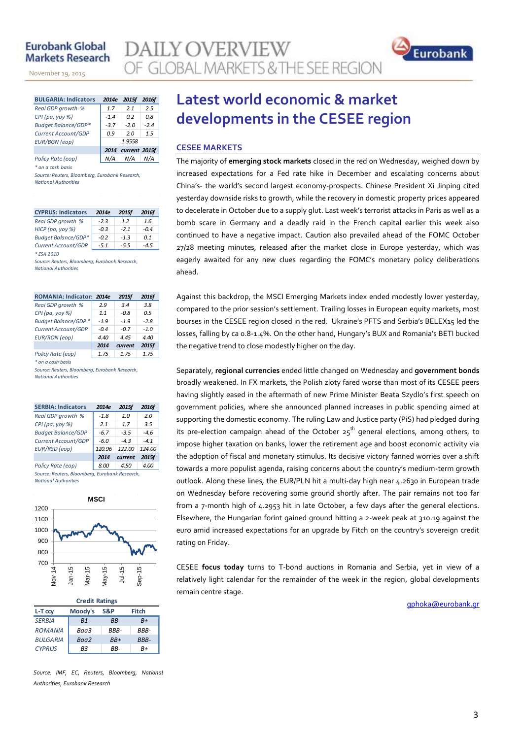# **Eurobank Global Markets Research**

November 14, 2013

November 19, 2015

**AILY OVERVIEW** OF GLOBAL MARKETS & THE SEE REGION



| <b>BULGARIA: Indicators</b> | 2014e              | <b>2015f</b> | 2016f  |  |  |
|-----------------------------|--------------------|--------------|--------|--|--|
| Real GDP growth %           | 1.7                | 2.1          | 2.5    |  |  |
| $CPI(pa, yoy \%)$           | $-1.4$             | 0.2          | 0.8    |  |  |
| Budget Balance/GDP*         | $-3.7$             | $-2.0$       | $-2.4$ |  |  |
| Current Account/GDP         | 0.9                | 20           | 1.5    |  |  |
| <b>EUR/BGN</b> (eop)        | 1.9558             |              |        |  |  |
|                             | 2014 current 2015f |              |        |  |  |
| Policy Rate (eop)           |                    | N/A          |        |  |  |

*\* on a cash basis*

*Source: Reuters, Bloomberg, Eurobank Research, National Authorities*

| <b>CYPRUS: Indicators</b>  | 2014e  | 2015f  | 2016f  |
|----------------------------|--------|--------|--------|
| Real GDP growth %          | $-2.3$ | 12     | 1.6    |
| НІСР (ра, уоу %)           | $-0.3$ | $-21$  | $-0.4$ |
| <b>Budget Balance/GDP*</b> | $-0.2$ | $-1.3$ | 0.1    |
| Current Account/GDP        | $-5.1$ | $-5.5$ | -4.5   |
| * ESA 2010                 |        |        |        |

*Source: Reuters, Bloomberg, Eurobank Research, National Authorities*

| ROMANIA: Indicator: 2014e   |        | 2015f   | 2016f  |
|-----------------------------|--------|---------|--------|
| Real GDP growth %           | 2.9    | 3.4     | 3.8    |
| CPI (pa, yoy %)             | 1.1    | $-0.8$  | 0.5    |
| <b>Budget Balance/GDP *</b> | $-1.9$ | $-1.9$  | $-2.8$ |
| Current Account/GDP         | $-0.4$ | $-0.7$  | $-1.0$ |
| <b>EUR/RON</b> (eop)        | 4.40   | 4.45    | 4.40   |
|                             | 2014   | current | 2015f  |
| Policy Rate (eop)           | 1.75   | 1.75    | 1.75   |

*\* on a cash basis*

*Source: Reuters, Bloomberg, Eurobank Research, National Authorities*

| <b>SERBIA: Indicators</b>                      | 2014e                    | 2015f  | 2016f  |  |  |  |  |  |  |
|------------------------------------------------|--------------------------|--------|--------|--|--|--|--|--|--|
| Real GDP growth %                              | $-1.8$                   | 1.0    | 2.0    |  |  |  |  |  |  |
| CPI (pa, yoy %)                                | 2.1                      | 1.7    | 3.5    |  |  |  |  |  |  |
| <b>Budget Balance/GDP</b>                      | $-6.7$                   | $-3.5$ | $-4.6$ |  |  |  |  |  |  |
| Current Account/GDP                            | $-6.0$                   | $-4.3$ | $-4.1$ |  |  |  |  |  |  |
| EUR/RSD (eop)                                  | 120.96                   | 122.00 | 124.00 |  |  |  |  |  |  |
|                                                | 2015f<br>2014<br>current |        |        |  |  |  |  |  |  |
| Policy Rate (eop)                              | 8.00                     | 4.50   | 4.00   |  |  |  |  |  |  |
| Source: Reuters, Bloomberg, Eurobank Research, |                          |        |        |  |  |  |  |  |  |

*National Authorities*



| <b>Credit Ratings</b>              |                |       |             |  |  |  |  |  |  |
|------------------------------------|----------------|-------|-------------|--|--|--|--|--|--|
| Moody's<br>Fitch<br>S&P<br>L-T ccv |                |       |             |  |  |  |  |  |  |
| <b>SERBIA</b>                      | B <sub>1</sub> | RR-   | $B+$        |  |  |  |  |  |  |
| <b>ROMANIA</b>                     | Baa3           | RRR-  | <b>BBB-</b> |  |  |  |  |  |  |
| <b>BULGARIA</b>                    | Baa2           | $BB+$ | BBB-        |  |  |  |  |  |  |
| <b>CYPRUS</b>                      | R3             | RR-   | R+          |  |  |  |  |  |  |

*Source: IMF, EC, Reuters, Bloomberg, National Authorities, Eurobank Research*

# **Latest world economic & market developments in the CESEE region**

# **CESEE MARKETS**

The majority of **emerging stock markets** closed in the red on Wednesday, weighed down by increased expectations for a Fed rate hike in December and escalating concerns about China's- the world's second largest economy-prospects. Chinese President Xi Jinping cited yesterday downside risks to growth, while the recovery in domestic property prices appeared to decelerate in October due to a supply glut. Last week's terrorist attacks in Paris as well as a bomb scare in Germany and a deadly raid in the French capital earlier this week also continued to have a negative impact. Caution also prevailed ahead of the FOMC October 27/28 meeting minutes, released after the market close in Europe yesterday, which was eagerly awaited for any new clues regarding the FOMC's monetary policy deliberations ahead.

Against this backdrop, the MSCI Emerging Markets index ended modestly lower yesterday, compared to the prior session's settlement. Trailing losses in European equity markets, most bourses in the CESEE region closed in the red. Ukraine's PFTS and Serbia's BELEX15 led the losses, falling by ca 0.8-1.4%. On the other hand, Hungary's BUX and Romania's BETI bucked the negative trend to close modestly higher on the day.

Separately, **regional currencies** ended little changed on Wednesday and **government bonds** broadly weakened. In FX markets, the Polish zloty fared worse than most of its CESEE peers having slightly eased in the aftermath of new Prime Minister Beata Szydlo's first speech on government policies, where she announced planned increases in public spending aimed at supporting the domestic economy. The ruling Law and Justice party (PiS) had pledged during its pre-election campaign ahead of the October  $25^{th}$  general elections, among others, to impose higher taxation on banks, lower the retirement age and boost economic activity via the adoption of fiscal and monetary stimulus. Its decisive victory fanned worries over a shift towards a more populist agenda, raising concerns about the country's medium-term growth outlook. Along these lines, the EUR/PLN hit a multi-day high near 4.2630 in European trade on Wednesday before recovering some ground shortly after. The pair remains not too far from a 7-month high of 4.2953 hit in late October, a few days after the general elections. Elsewhere, the Hungarian forint gained ground hitting a 2-week peak at 310.19 against the euro amid increased expectations for an upgrade by Fitch on the country's sovereign credit rating on Friday.

CESEE **focus today** turns to T-bond auctions in Romania and Serbia, yet in view of a relatively light calendar for the remainder of the week in the region, global developments remain centre stage.

[gphoka@eurobank.gr](mailto:gphoka@eurobank.gr)

#### 3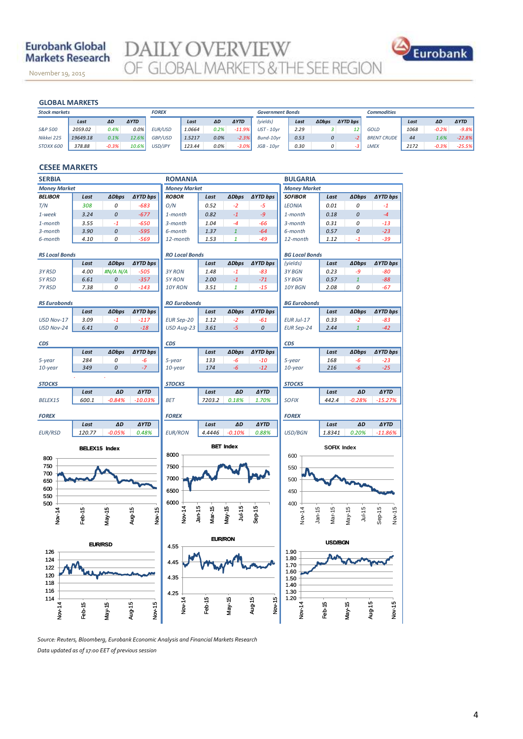# **Eurobank Global Markets Research**

November 19, 2015

**DAILY OVERVIEW**<br>OF GLOBAL MARKETS & THE SEE REGION



November 14, 2013

|                      | <b>GLOBAL MARKETS</b> |         |             |              |        |         |             |                         |      |                  |                     |                    |      |         |             |
|----------------------|-----------------------|---------|-------------|--------------|--------|---------|-------------|-------------------------|------|------------------|---------------------|--------------------|------|---------|-------------|
| <b>Stock markets</b> |                       |         |             | <b>FOREX</b> |        |         |             | <b>Government Bonds</b> |      |                  |                     | <b>Commodities</b> |      |         |             |
|                      | Last                  | ΔD      | <b>AYTD</b> |              | Last   | ΔD      | <b>AYTD</b> | (yields)                | Last | <b>ADbps</b>     | $\triangle$ YTD bps |                    | Last | ΔD      | <b>AYTD</b> |
| S&P 500              | 2059.02               | 0.4%    | 0.0%        | EUR/USD      | 1.0664 | 0.2%    | $-11.9%$    | $UST - 10vr$            | 2.29 |                  | 12                  | GOLD               | 1068 | $-0.2%$ | $-9.8%$     |
| Nikkei 225           | 19649.18              | 0.1%    | 12.6%       | GBP/USD      | 1.5217 | 0.0%    | $-2.3%$     | Bund-10vr               | 0.53 | $\boldsymbol{o}$ |                     | <b>BRENT CRUDE</b> | 44   | 1.6%    | $-22.8%$    |
| STOXX 600            | 378.88                | $-0.3%$ | 10.6%       | USD/JPY      | 123.44 | $0.0\%$ | $-3.0%$     | $JGB - 10yr$            | 0.30 | 0                | -3                  | <b>LMEX</b>        | 2172 | $-0.3%$ | $-25.5%$    |

### **CESEE MARKETS**

| <b>SERBIA</b>         | <b>ROMANIA</b>       |                |                      |                       |                |                         |                      | <b>BULGARIA</b>        |                |                      |                          |  |  |
|-----------------------|----------------------|----------------|----------------------|-----------------------|----------------|-------------------------|----------------------|------------------------|----------------|----------------------|--------------------------|--|--|
| <b>Money Market</b>   |                      |                |                      | <b>Money Market</b>   |                |                         |                      | <b>Money Market</b>    |                |                      |                          |  |  |
| <b>BELIBOR</b>        | Last                 | <b>ADbps</b>   | <b>∆YTD bps</b>      | <b>ROBOR</b>          | Last           | <b>ADbps</b>            | <b>AYTD bps</b>      | <b>SOFIBOR</b>         | Last           | <b>∆Dbps</b>         | <b>∆YTD bps</b>          |  |  |
| T/N                   | 308                  | 0              | $-683$               | O/N                   | 0.52           | $-2$                    | $-5$                 | <b>LEONIA</b>          | 0.01           | 0                    | $-1$                     |  |  |
| 1-week                | 3.24                 | 0              | $-677$               | 1-month               | 0.82           | $-1$                    | -9                   | $1$ -month             | 0.18           | 0                    | $-4$                     |  |  |
| 1-month               | 3.55                 | $-1$           | $-650$               | 3-month               | 1.04           | $-4$                    | -66                  | 3-month                | 0.31           | 0                    | $-13$                    |  |  |
| 3-month               | 3.90                 | 0              | $-595$               | 6-month               | 1.37           | $\mathbf{1}$            | $-64$                | 6-month                | 0.57           | 0                    | $-23$                    |  |  |
| 6-month               | 4.10                 | 0              | $-569$               | 12-month              | 1.53           | $\mathbf{1}$            | $-49$                | 12-month               | 1.12           | $-1$                 | $-39$                    |  |  |
| <b>RS Local Bonds</b> |                      |                |                      | <b>RO Local Bonds</b> |                |                         |                      | <b>BG Local Bonds</b>  |                |                      |                          |  |  |
|                       | Last                 | <b>ADbps</b>   | <b>∆YTD bps</b>      |                       | Last           | <b>ADbps</b>            | <b>∆YTD bps</b>      | (yields)               | Last           | <b>ADbps</b>         | <b>∆YTD bps</b>          |  |  |
| 3Y RSD                | 4.00                 | #N/A N/A       | $-505$               | 3Y RON                | 1.48           | $-1$                    | $-83$                | 3Y BGN                 | 0.23           | $-9$                 | $-80$                    |  |  |
| 5YRSD                 | 6.61                 | 0              | $-357$               | 5Y RON                | 2.00           | $-1$                    | $-71$                | 5Y BGN                 | 0.57           | $\mathbf{1}$         | $-88$                    |  |  |
| 7Y RSD                | 7.38                 | 0              | $-143$               | 10Y RON               | 3.51           | $\mathbf{1}$            | $-15$                | 10Y BGN                | 2.08           | 0                    | $-67$                    |  |  |
| <b>RS Eurobonds</b>   |                      |                |                      | <b>RO Eurobonds</b>   |                |                         |                      | <b>BG Eurobonds</b>    |                |                      |                          |  |  |
|                       | Last                 | <b>ADbps</b>   | <b>∆YTD bps</b>      |                       | Last           | <b>ADbps</b>            | <b>AYTD bps</b>      |                        | Last           | <b>ADbps</b>         | <b>∆YTD bps</b>          |  |  |
| USD Nov-17            | 3.09                 | $-1$           | $-117$               | <b>EUR Sep-20</b>     | 1.12           | $-2$                    | $-61$                | <b>EUR Jul-17</b>      | 0.33           | $-2$                 | $-83$                    |  |  |
| USD Nov-24            | 6.41                 | 0              | $-18$                | USD Aug-23            | 3.61           | $-5$                    | $\mathcal{O}$        | <b>EUR Sep-24</b>      | 2.44           | $\mathbf{1}$         | $-42$                    |  |  |
| CDS                   |                      |                |                      | <b>CDS</b>            |                |                         |                      | CDS                    |                |                      |                          |  |  |
|                       | Last                 | <b>ADbps</b>   | <b>AYTD bps</b>      |                       | Last           | <b>ADbps</b>            | <b>AYTD bps</b>      |                        | Last           | <b>ADbps</b>         | <b>∆YTD bps</b>          |  |  |
| 5-year                | 284                  | 0              | $-6$                 | 5-year                | 133            | $-6$                    | $-10$                | 5-year                 | 168            | $-6$                 | $-23$                    |  |  |
| 10-year               | 349                  | 0              | $-7$                 | 10-year               | 174            | $-6$                    | $-12$                | 10-year                | 216            | $-6$                 | $-25$                    |  |  |
|                       |                      |                |                      |                       |                |                         |                      |                        |                |                      |                          |  |  |
| <b>STOCKS</b>         | Last                 | ΔD             | <b>AYTD</b>          | <b>STOCKS</b>         | Last           | ΔD                      | <b>AYTD</b>          | <b>STOCKS</b>          | Last           | ΔD                   | <b>AYTD</b>              |  |  |
| BELEX15               | 600.1                | $-0.84%$       | $-10.03%$            | <b>BET</b>            | 7203.2         | 0.18%                   | 1.70%                | <b>SOFIX</b>           | 442.4          | $-0.28%$             | $-15.27%$                |  |  |
|                       |                      |                |                      |                       |                |                         |                      |                        |                |                      |                          |  |  |
| <b>FOREX</b>          |                      |                |                      | <b>FOREX</b>          |                |                         |                      | <b>FOREX</b>           |                |                      |                          |  |  |
| <b>EUR/RSD</b>        | Last<br>120.77       | ΔD<br>$-0.05%$ | <b>AYTD</b><br>0.48% | <b>EUR/RON</b>        | Last<br>4.4446 | ΔD<br>$-0.10%$          | <b>AYTD</b><br>0.88% | USD/BGN                | Last<br>1.8341 | ΔD<br>0.20%          | <b>AYTD</b><br>$-11.86%$ |  |  |
|                       |                      |                |                      |                       |                |                         |                      |                        |                |                      |                          |  |  |
|                       | <b>BELEX15 Index</b> |                |                      |                       |                | <b>BET Index</b>        |                      |                        | SOFIX Index    |                      |                          |  |  |
| 800                   |                      |                |                      | 8000                  |                |                         |                      | 600                    |                |                      |                          |  |  |
| 750<br>700            |                      |                |                      | 7500                  |                |                         |                      | 550                    |                |                      |                          |  |  |
| 650                   |                      |                |                      | 7000                  |                |                         |                      | 500                    |                |                      |                          |  |  |
| 600                   |                      |                |                      | 6500                  |                |                         |                      | 450                    |                |                      |                          |  |  |
| 550                   |                      |                |                      |                       |                |                         |                      |                        |                |                      |                          |  |  |
| 500                   |                      |                |                      | 6000                  |                |                         |                      | 400                    |                |                      |                          |  |  |
| Nov-14                | Feb-15               | May-15         | Aug-15<br>Nov-15     | Nov-14<br>$Jan-15$    | Mar-15         | <b>Jul-15</b><br>May-15 | $Sep-15$             | $Jan-15$<br>Nov-14     | Mar-15         | $May-15$<br>$Jul-15$ | Sep-15<br>Nov-15         |  |  |
|                       |                      |                |                      |                       |                |                         |                      |                        |                |                      |                          |  |  |
|                       |                      |                |                      |                       |                | <b>EUR/RON</b>          |                      |                        |                |                      |                          |  |  |
| 126                   | <b>EUR/RSD</b>       |                |                      | 4.55                  |                |                         |                      | <b>USD/BGN</b><br>1.90 |                |                      |                          |  |  |
| 124                   |                      |                |                      | 4.45                  |                |                         |                      | 1.80                   |                |                      |                          |  |  |
| 122                   |                      |                |                      |                       |                |                         |                      | 1.70<br>1.60           |                |                      |                          |  |  |
| 120                   |                      |                |                      | 4.35                  |                |                         |                      | 1.50                   |                |                      |                          |  |  |
| 118<br>116            |                      |                |                      |                       |                |                         |                      | 1.40<br>1.30           |                |                      |                          |  |  |
| 114                   |                      |                |                      | 4.25                  |                |                         |                      | 1.20                   |                |                      |                          |  |  |
|                       | Feb-15               | May-15         | Aug-15<br>Nov-15     | <b>4-14</b>           | Feb-15         | May-15                  | Aug-15<br>Nov-15     | Nov.14                 | Feb-15         | May-15               | Aug-15<br>Nov-15         |  |  |
| $\frac{1}{2}$         |                      |                |                      |                       |                |                         |                      |                        |                |                      |                          |  |  |

*Source: Reuters, Bloomberg, Eurobank Economic Analysis and Financial Markets Research Data updated as of 17:00 EET of previous session*